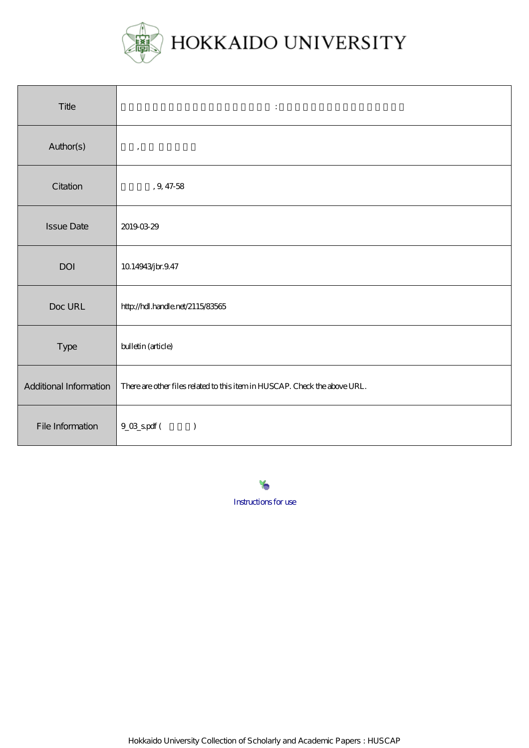

| Title                  | $\ddot{\cdot}$                                                             |
|------------------------|----------------------------------------------------------------------------|
| Author(s)              | $^\mathrm{^\mathrm{o}}$                                                    |
| Citation               | , $9\,47\,58$                                                              |
| <b>Issue Date</b>      | 20190329                                                                   |
| <b>DOI</b>             | 10.14943jbr.9.47                                                           |
| Doc URL                | http://hdl.handle.net/2115/83565                                           |
| Type                   | bulletin (article)                                                         |
| Additional Information | There are other files related to this item in HUSCAP. Check the above URL. |
| File Information       | $9_0$ $8_5$ pdf (<br>$\mathcal{L}$                                         |